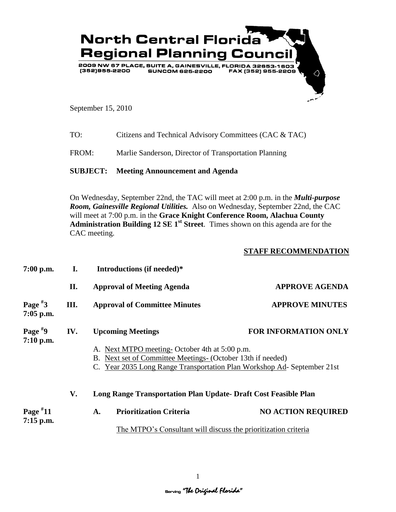

September 15, 2010

| TO: | Citizens and Technical Advisory Committees (CAC & TAC) |
|-----|--------------------------------------------------------|
|     |                                                        |

FROM: Marlie Sanderson, Director of Transportation Planning

## **SUBJECT: Meeting Announcement and Agenda**

On Wednesday, September 22nd, the TAC will meet at 2:00 p.m. in the *Multi-purpose Room, Gainesville Regional Utilities.* Also on Wednesday, September 22nd, the CAC will meet at 7:00 p.m. in the **Grace Knight Conference Room, Alachua County Administration Building 12 SE 1st Street**. Times shown on this agenda are for the CAC meeting.

## **STAFF RECOMMENDATION**

| $7:00$ p.m.               | I.  | Introductions (if needed)*                                                                                                                                                                                         |                             |  |  |
|---------------------------|-----|--------------------------------------------------------------------------------------------------------------------------------------------------------------------------------------------------------------------|-----------------------------|--|--|
|                           | П.  | <b>Approval of Meeting Agenda</b>                                                                                                                                                                                  | <b>APPROVE AGENDA</b>       |  |  |
| Page $*3$<br>$7:05$ p.m.  | Ш.  | <b>APPROVE MINUTES</b><br><b>Approval of Committee Minutes</b>                                                                                                                                                     |                             |  |  |
| Page $*9$<br>7:10 p.m.    | IV. | <b>Upcoming Meetings</b><br>A. Next MTPO meeting-October 4th at 5:00 p.m.<br>B. Next set of Committee Meetings- (October 13th if needed)<br>C. Year 2035 Long Range Transportation Plan Workshop Ad-September 21st | <b>FOR INFORMATION ONLY</b> |  |  |
|                           | V.  | Long Range Transportation Plan Update- Draft Cost Feasible Plan                                                                                                                                                    |                             |  |  |
| Page $*11$<br>$7:15$ p.m. |     | <b>Prioritization Criteria</b><br>A.                                                                                                                                                                               | <b>NO ACTION REQUIRED</b>   |  |  |
|                           |     | The MTPO's Consultant will discuss the prioritization criteria                                                                                                                                                     |                             |  |  |